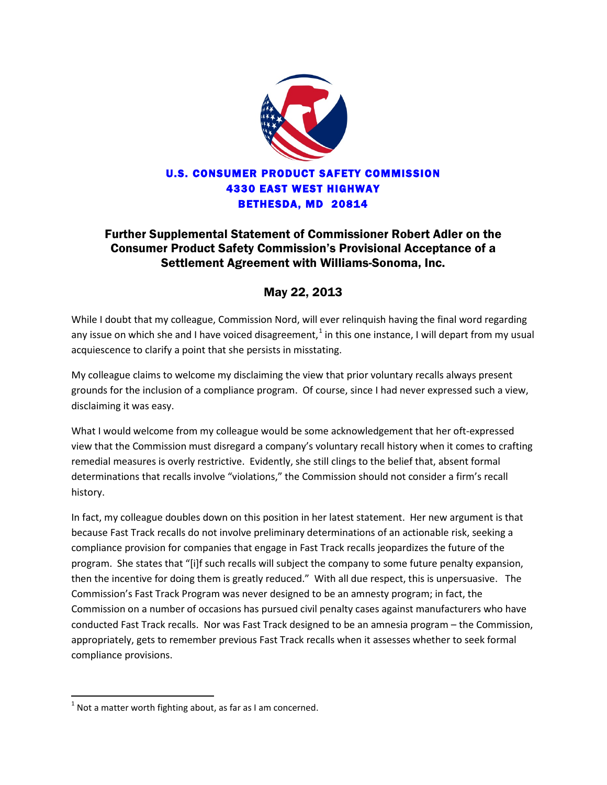

## Further Supplemental Statement of Commissioner Robert Adler on the Consumer Product Safety Commission's Provisional Acceptance of a Settlement Agreement with Williams-Sonoma, Inc.

## May 22, 2013

While I doubt that my colleague, Commission Nord, will ever relinquish having the final word regarding any issue on which she and I have voiced disagreement,<sup>[1](#page-0-0)</sup> in this one instance, I will depart from my usual acquiescence to clarify a point that she persists in misstating.

My colleague claims to welcome my disclaiming the view that prior voluntary recalls always present grounds for the inclusion of a compliance program. Of course, since I had never expressed such a view, disclaiming it was easy.

What I would welcome from my colleague would be some acknowledgement that her oft-expressed view that the Commission must disregard a company's voluntary recall history when it comes to crafting remedial measures is overly restrictive. Evidently, she still clings to the belief that, absent formal determinations that recalls involve "violations," the Commission should not consider a firm's recall history.

In fact, my colleague doubles down on this position in her latest statement. Her new argument is that because Fast Track recalls do not involve preliminary determinations of an actionable risk, seeking a compliance provision for companies that engage in Fast Track recalls jeopardizes the future of the program. She states that "[i]f such recalls will subject the company to some future penalty expansion, then the incentive for doing them is greatly reduced." With all due respect, this is unpersuasive. The Commission's Fast Track Program was never designed to be an amnesty program; in fact, the Commission on a number of occasions has pursued civil penalty cases against manufacturers who have conducted Fast Track recalls. Nor was Fast Track designed to be an amnesia program – the Commission, appropriately, gets to remember previous Fast Track recalls when it assesses whether to seek formal compliance provisions.

<span id="page-0-0"></span> $1$  Not a matter worth fighting about, as far as I am concerned.